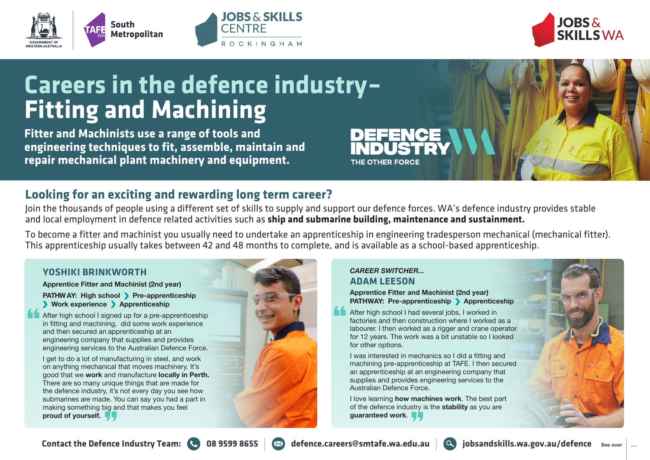





# **Careers in the defence industry– Fitting and Machining**

**Fitter and Machinists use a range of tools and engineering techniques to fit, assemble, maintain and repair mechanical plant machinery and equipment.**

### **Looking for an exciting and rewarding long term career?**

Join the thousands of people using a different set of skills to supply and support our defence forces. WA's defence industry provides stable and local employment in defence related activities such as **ship and submarine building, maintenance and sustainment.**

To become a fitter and machinist you usually need to undertake an apprenticeship in engineering tradesperson mechanical (mechanical fitter). This apprenticeship usually takes between 42 and 48 months to complete, and is available as a school-based apprenticeship.

#### **YOSHIKI BRINKWORTH**

**Apprentice Fitter and Machinist (2nd year)** 

**PATHWAY: High school > Pre-apprenticeship Work experience Apprenticeship** 

After high school I signed up for a pre-apprenticeship in fitting and machining, did some work experience and then secured an apprenticeship at an engineering company that supplies and provides engineering services to the Australian Defence Force.

I get to do a lot of manufacturing in steel, and work on anything mechanical that moves machinery. It's good that we **work** and manufacture **locally in Perth.**  There are so many unique things that are made for the defence industry, it's not every day you see how submarines are made. You can say you had a part in making something big and that makes you feel **proud of yourself.**



#### *CAREER SWITCHER...* **ADAM LEESON**

THE OTHER FORCE

**Apprentice Fitter and Machinist (2nd year) PATHWAY: Pre-apprenticeship > Apprenticeship** 

After high school I had several jobs, I worked in factories and then construction where I worked as a labourer. I then worked as a rigger and crane operator for 12 years. The work was a bit unstable so I looked for other options.

I was interested in mechanics so I did a fitting and machining pre-apprenticeship at TAFE. I then secured an apprenticeship at an engineering company that supplies and provides engineering services to the Australian Defence Force.

I love learning **how machines work**. The best part of the defence industry is the **stability** as you are **guaranteed work**.